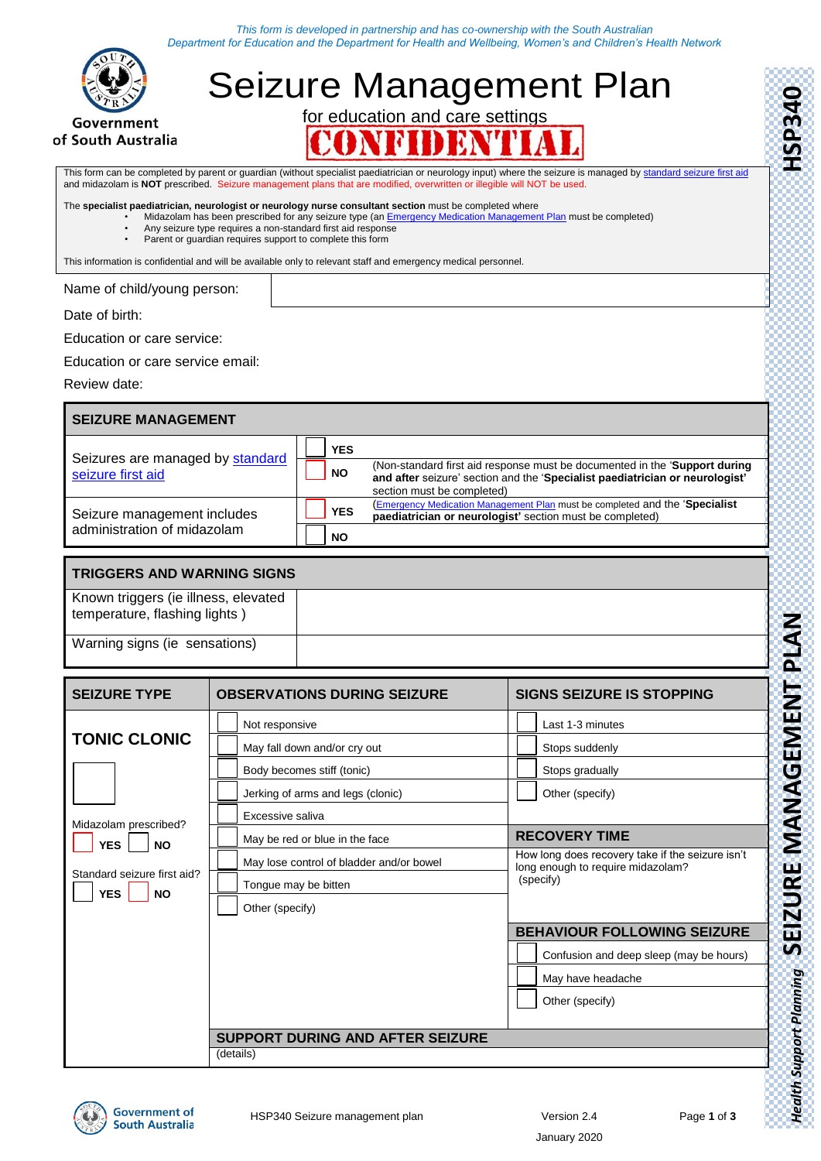*This form is developed in partnership and has co-ownership with the South Australian Department for Education and the Department for Health and Wellbeing, Women's and Children's Health Network*



of South Australia

## Seizure Management Plan for education and care settings N

This form can be completed by parent or guardian (without specialist paediatrician or neurology input) where the seizure is managed by [standard seizure first aid](https://www.education.sa.gov.au/sites/g/files/net691/f/first-aid-seizure.pdf) and midazolam is **NOT** prescribed. Seizure management plans that are modified, overwritten or illegible will NOT be used.

The **specialist paediatrician, neurologist or neurology nurse consultant section** must be completed where

• Midazolam has been prescribed for any seizure type (an <u>Emergency Medication Management Plan</u> must be completed)

- Any seizure type requires a non-standard first aid response
- Parent or guardian requires support to complete this form

This information is confidential and will be available only to relevant staff and emergency medical personnel.

Name of child/young person:

Date of birth:

Education or care service:

Education or care service email:

Review date:

## **SEIZURE MANAGEMENT**

|                                                       | <b>YES</b> |                                                                                                                                                                                          |
|-------------------------------------------------------|------------|------------------------------------------------------------------------------------------------------------------------------------------------------------------------------------------|
| Seizures are managed by standard<br>seizure first aid | <b>NO</b>  | (Non-standard first aid response must be documented in the 'Support during<br>and after seizure' section and the 'Specialist paediatrician or neurologist'<br>section must be completed) |
| Seizure management includes                           | <b>YES</b> | <b>(Emergency Medication Management Plan must be completed and the 'Specialist</b><br>paediatrician or neurologist' section must be completed)                                           |
| administration of midazolam                           | <b>NO</b>  |                                                                                                                                                                                          |

## **TRIGGERS AND WARNING SIGNS**

Known triggers (ie illness, elevated temperature, flashing lights )

Warning signs (ie sensations)

| <b>SEIZURE TYPE</b>                                    | <b>OBSERVATIONS DURING SEIZURE</b>       | <b>SIGNS SEIZURE IS STOPPING</b>                                                      |  |
|--------------------------------------------------------|------------------------------------------|---------------------------------------------------------------------------------------|--|
|                                                        | Not responsive                           | Last 1-3 minutes                                                                      |  |
| <b>TONIC CLONIC</b>                                    | May fall down and/or cry out             | Stops suddenly                                                                        |  |
|                                                        | Body becomes stiff (tonic)               | Stops gradually                                                                       |  |
|                                                        | Jerking of arms and legs (clonic)        | Other (specify)                                                                       |  |
| Midazolam prescribed?                                  | Excessive saliva                         |                                                                                       |  |
| <b>YES</b><br><b>NO</b>                                | May be red or blue in the face           | <b>RECOVERY TIME</b>                                                                  |  |
|                                                        | May lose control of bladder and/or bowel | How long does recovery take if the seizure isn't<br>long enough to require midazolam? |  |
| Standard seizure first aid?<br><b>YES</b><br><b>NO</b> | Tongue may be bitten                     | (specify)                                                                             |  |
|                                                        | Other (specify)                          |                                                                                       |  |
|                                                        |                                          | <b>BEHAVIOUR FOLLOWING SEIZURE</b>                                                    |  |
|                                                        |                                          | Confusion and deep sleep (may be hours)                                               |  |
|                                                        |                                          | May have headache                                                                     |  |
|                                                        |                                          | Other (specify)                                                                       |  |
|                                                        |                                          |                                                                                       |  |
|                                                        | <b>SUPPORT DURING AND AFTER SEIZURE</b>  |                                                                                       |  |
|                                                        | (details)                                |                                                                                       |  |



*Health Support Planning* **SEIZURE MANAGEMENT PLAN HSP340**

**Health Support Planning SEIZURE MANAGEMENT PLAN** 

HSP340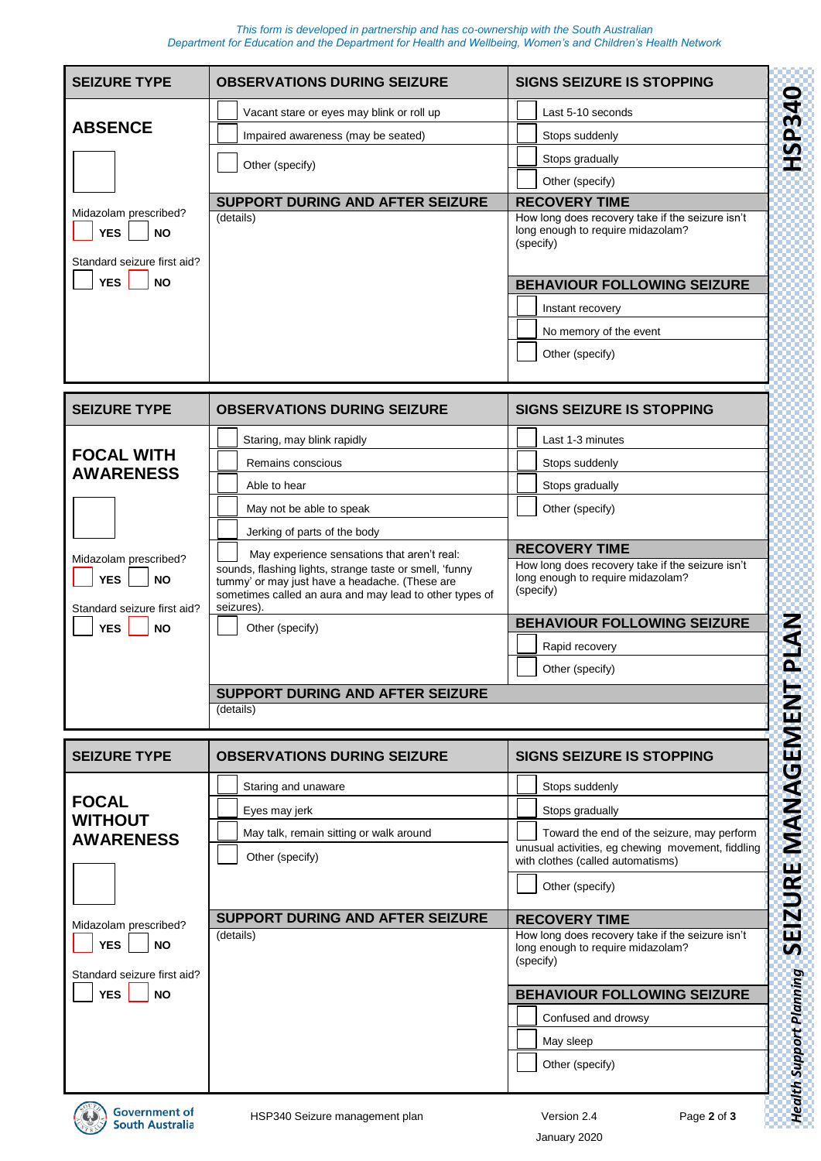*This form is developed in partnership and has co-ownership with the South Australian Department for Education and the Department for Health and Wellbeing, Women's and Children's Health Network*

| <b>SEIZURE TYPE</b>                                                             | <b>OBSERVATIONS DURING SEIZURE</b>                                                                                                                                                                                               | <b>SIGNS SEIZURE IS STOPPING</b>                                                                   |  |  |
|---------------------------------------------------------------------------------|----------------------------------------------------------------------------------------------------------------------------------------------------------------------------------------------------------------------------------|----------------------------------------------------------------------------------------------------|--|--|
|                                                                                 | Vacant stare or eyes may blink or roll up                                                                                                                                                                                        | Last 5-10 seconds                                                                                  |  |  |
| <b>ABSENCE</b>                                                                  | Impaired awareness (may be seated)                                                                                                                                                                                               | Stops suddenly                                                                                     |  |  |
|                                                                                 | Other (specify)                                                                                                                                                                                                                  | Stops gradually                                                                                    |  |  |
|                                                                                 |                                                                                                                                                                                                                                  | Other (specify)                                                                                    |  |  |
| Midazolam prescribed?                                                           | SUPPORT DURING AND AFTER SEIZURE                                                                                                                                                                                                 | <b>RECOVERY TIME</b>                                                                               |  |  |
| <b>YES</b><br><b>NO</b><br>Standard seizure first aid?                          | (details)                                                                                                                                                                                                                        | How long does recovery take if the seizure isn't<br>long enough to require midazolam?<br>(specify) |  |  |
| <b>YES</b><br><b>NO</b>                                                         |                                                                                                                                                                                                                                  | <b>BEHAVIOUR FOLLOWING SEIZURE</b>                                                                 |  |  |
|                                                                                 |                                                                                                                                                                                                                                  | Instant recovery                                                                                   |  |  |
|                                                                                 |                                                                                                                                                                                                                                  | No memory of the event                                                                             |  |  |
|                                                                                 |                                                                                                                                                                                                                                  | Other (specify)                                                                                    |  |  |
|                                                                                 |                                                                                                                                                                                                                                  |                                                                                                    |  |  |
| <b>SEIZURE TYPE</b>                                                             | <b>OBSERVATIONS DURING SEIZURE</b>                                                                                                                                                                                               | <b>SIGNS SEIZURE IS STOPPING</b>                                                                   |  |  |
|                                                                                 |                                                                                                                                                                                                                                  |                                                                                                    |  |  |
| <b>FOCAL WITH</b>                                                               | Staring, may blink rapidly                                                                                                                                                                                                       | Last 1-3 minutes                                                                                   |  |  |
| <b>AWARENESS</b>                                                                | Remains conscious                                                                                                                                                                                                                | Stops suddenly                                                                                     |  |  |
|                                                                                 | Able to hear                                                                                                                                                                                                                     | Stops gradually                                                                                    |  |  |
|                                                                                 | May not be able to speak                                                                                                                                                                                                         | Other (specify)                                                                                    |  |  |
|                                                                                 | Jerking of parts of the body                                                                                                                                                                                                     | <b>RECOVERY TIME</b>                                                                               |  |  |
| Midazolam prescribed?<br><b>YES</b><br><b>NO</b><br>Standard seizure first aid? | May experience sensations that aren't real:<br>sounds, flashing lights, strange taste or smell, 'funny<br>tummy' or may just have a headache. (These are<br>sometimes called an aura and may lead to other types of<br>seizures) | How long does recovery take if the seizure isn't<br>long enough to require midazolam?<br>(specify) |  |  |
| <b>YES</b><br><b>NO</b>                                                         | Other (specify)                                                                                                                                                                                                                  | <b>BEHAVIOUR FOLLOWING SEIZURE</b>                                                                 |  |  |
|                                                                                 |                                                                                                                                                                                                                                  | Rapid recovery                                                                                     |  |  |
|                                                                                 |                                                                                                                                                                                                                                  | Other (specify)                                                                                    |  |  |
|                                                                                 | SUPPORT DURING AND AFTER SEIZURE                                                                                                                                                                                                 |                                                                                                    |  |  |
|                                                                                 | (details)                                                                                                                                                                                                                        |                                                                                                    |  |  |
|                                                                                 |                                                                                                                                                                                                                                  |                                                                                                    |  |  |
| <b>SEIZURE TYPE</b>                                                             | <b>OBSERVATIONS DURING SEIZURE</b>                                                                                                                                                                                               | <b>SIGNS SEIZURE IS STOPPING</b>                                                                   |  |  |
|                                                                                 | Staring and unaware                                                                                                                                                                                                              | Stops suddenly                                                                                     |  |  |
| <b>FOCAL</b><br><b>WITHOUT</b>                                                  | Eyes may jerk                                                                                                                                                                                                                    | Stops gradually                                                                                    |  |  |
| <b>AWARENESS</b>                                                                | May talk, remain sitting or walk around                                                                                                                                                                                          | Toward the end of the seizure, may perform                                                         |  |  |
|                                                                                 | Other (specify)                                                                                                                                                                                                                  | unusual activities, eg chewing movement, fiddling<br>with clothes (called automatisms)             |  |  |
|                                                                                 |                                                                                                                                                                                                                                  | Other (specify)                                                                                    |  |  |
| Midazolam prescribed?                                                           | <b>SUPPORT DURING AND AFTER SEIZURE</b>                                                                                                                                                                                          | <b>RECOVERY TIME</b>                                                                               |  |  |
| <b>YES</b><br><b>NO</b><br>Standard seizure first aid?                          | (details)                                                                                                                                                                                                                        | How long does recovery take if the seizure isn't<br>long enough to require midazolam?<br>(specify) |  |  |
| <b>YES</b><br><b>NO</b>                                                         |                                                                                                                                                                                                                                  | <b>BEHAVIOUR FOLLOWING SEIZURE</b>                                                                 |  |  |
|                                                                                 |                                                                                                                                                                                                                                  | Confused and drowsy                                                                                |  |  |
|                                                                                 |                                                                                                                                                                                                                                  | May sleep                                                                                          |  |  |
|                                                                                 |                                                                                                                                                                                                                                  | Other (specify)                                                                                    |  |  |
|                                                                                 |                                                                                                                                                                                                                                  |                                                                                                    |  |  |



HSP340